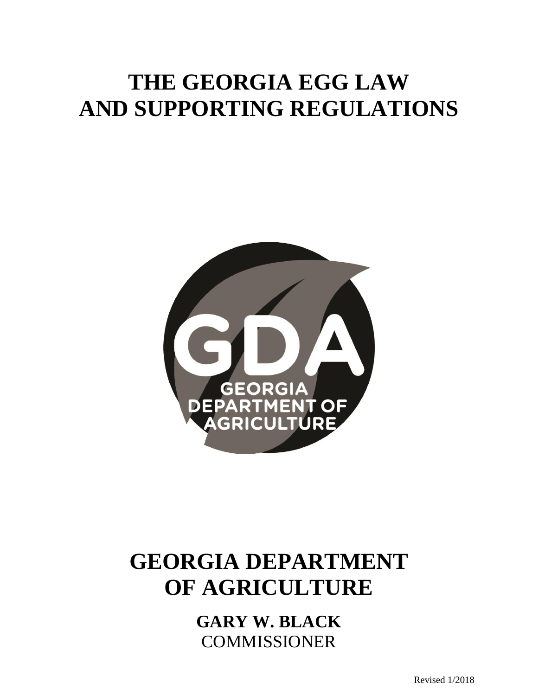# **THE GEORGIA EGG LAW AND SUPPORTING REGULATIONS**



# **GEORGIA DEPARTMENT OF AGRICULTURE**

**GARY W. BLACK** COMMISSIONER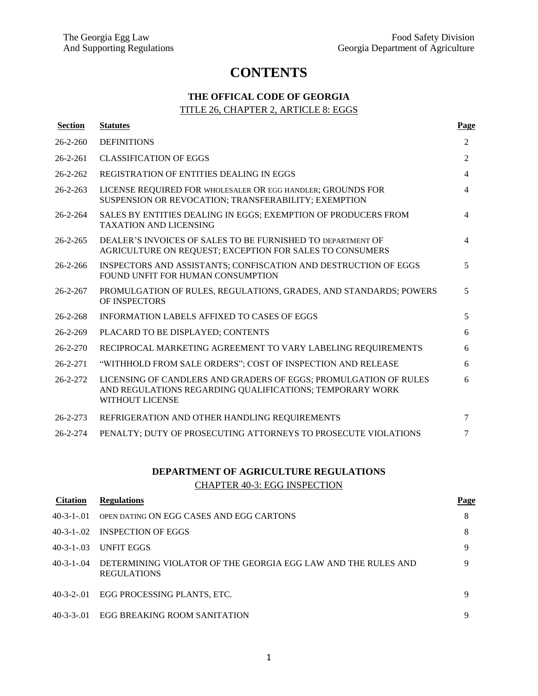## **CONTENTS**

### **THE OFFICAL CODE OF GEORGIA** TITLE 26, CHAPTER 2, ARTICLE 8: EGGS

| <b>Section</b> | <b>Statutes</b>                                                                                                                                        | Page           |
|----------------|--------------------------------------------------------------------------------------------------------------------------------------------------------|----------------|
| $26 - 2 - 260$ | <b>DEFINITIONS</b>                                                                                                                                     | $\overline{2}$ |
| $26 - 2 - 261$ | <b>CLASSIFICATION OF EGGS</b>                                                                                                                          | $\overline{2}$ |
| $26 - 2 - 262$ | REGISTRATION OF ENTITIES DEALING IN EGGS                                                                                                               | $\overline{4}$ |
| $26 - 2 - 263$ | LICENSE REQUIRED FOR WHOLESALER OR EGG HANDLER; GROUNDS FOR<br>SUSPENSION OR REVOCATION; TRANSFERABILITY; EXEMPTION                                    | $\overline{4}$ |
| $26 - 2 - 264$ | SALES BY ENTITIES DEALING IN EGGS; EXEMPTION OF PRODUCERS FROM<br><b>TAXATION AND LICENSING</b>                                                        | $\overline{4}$ |
| $26 - 2 - 265$ | DEALER'S INVOICES OF SALES TO BE FURNISHED TO DEPARTMENT OF<br>AGRICULTURE ON REQUEST; EXCEPTION FOR SALES TO CONSUMERS                                | $\overline{4}$ |
| $26 - 2 - 266$ | INSPECTORS AND ASSISTANTS; CONFISCATION AND DESTRUCTION OF EGGS<br>FOUND UNFIT FOR HUMAN CONSUMPTION                                                   | 5              |
| $26 - 2 - 267$ | PROMULGATION OF RULES, REGULATIONS, GRADES, AND STANDARDS; POWERS<br>OF INSPECTORS                                                                     | 5              |
| $26 - 2 - 268$ | INFORMATION LABELS AFFIXED TO CASES OF EGGS                                                                                                            | 5              |
| $26 - 2 - 269$ | PLACARD TO BE DISPLAYED; CONTENTS                                                                                                                      | 6              |
| $26 - 2 - 270$ | RECIPROCAL MARKETING AGREEMENT TO VARY LABELING REQUIREMENTS                                                                                           | 6              |
| $26 - 2 - 271$ | "WITHHOLD FROM SALE ORDERS"; COST OF INSPECTION AND RELEASE                                                                                            | 6              |
| $26 - 2 - 272$ | LICENSING OF CANDLERS AND GRADERS OF EGGS; PROMULGATION OF RULES<br>AND REGULATIONS REGARDING QUALIFICATIONS; TEMPORARY WORK<br><b>WITHOUT LICENSE</b> | 6              |
| $26 - 2 - 273$ | REFRIGERATION AND OTHER HANDLING REQUIREMENTS                                                                                                          | 7              |
| $26 - 2 - 274$ | PENALTY; DUTY OF PROSECUTING ATTORNEYS TO PROSECUTE VIOLATIONS                                                                                         | 7              |

### **DEPARTMENT OF AGRICULTURE REGULATIONS** CHAPTER 40-3: EGG INSPECTION

| <b>Citation</b>   | <b>Regulations</b>                                                                  | Page |
|-------------------|-------------------------------------------------------------------------------------|------|
| $40-3-1-01$       | OPEN DATING ON EGG CASES AND EGG CARTONS                                            | 8    |
|                   | 40-3-1-02 INSPECTION OF EGGS                                                        | 8    |
| $40 - 3 - 1 - 03$ | UNFIT EGGS                                                                          | 9    |
| $40 - 3 - 1 - 04$ | DETERMINING VIOLATOR OF THE GEORGIA EGG LAW AND THE RULES AND<br><b>REGULATIONS</b> | Q    |
| $40-3-2-01$       | EGG PROCESSING PLANTS, ETC.                                                         | 9    |
|                   | 40-3-3-.01 EGG BREAKING ROOM SANITATION                                             | Q    |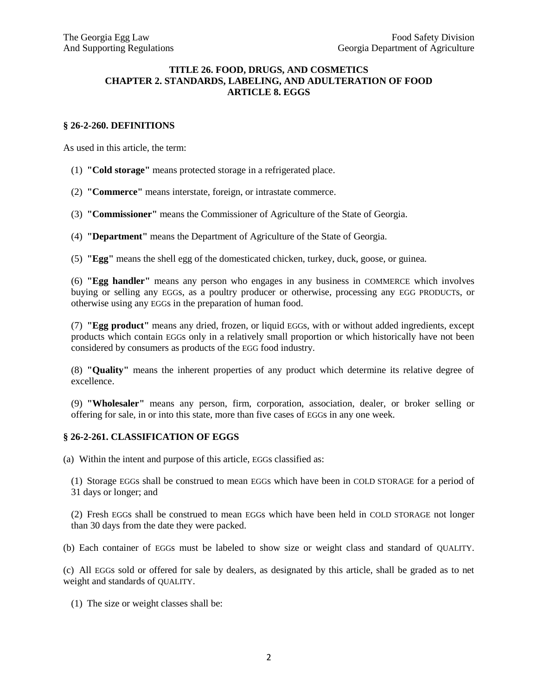#### **TITLE 26. FOOD, DRUGS, AND COSMETICS CHAPTER 2. STANDARDS, LABELING, AND ADULTERATION OF FOOD ARTICLE 8. EGGS**

#### **§ 26-2-260. DEFINITIONS**

As used in this article, the term:

- (1) **"Cold storage"** means protected storage in a refrigerated place.
- (2) **"Commerce"** means interstate, foreign, or intrastate commerce.
- (3) **"Commissioner"** means the Commissioner of Agriculture of the State of Georgia.
- (4) **"Department"** means the Department of Agriculture of the State of Georgia.
- (5) **"Egg"** means the shell egg of the domesticated chicken, turkey, duck, goose, or guinea.

(6) **"Egg handler"** means any person who engages in any business in COMMERCE which involves buying or selling any EGGs, as a poultry producer or otherwise, processing any EGG PRODUCTs, or otherwise using any EGGs in the preparation of human food.

(7) **"Egg product"** means any dried, frozen, or liquid EGGs, with or without added ingredients, except products which contain EGGs only in a relatively small proportion or which historically have not been considered by consumers as products of the EGG food industry.

(8) **"Quality"** means the inherent properties of any product which determine its relative degree of excellence.

(9) **"Wholesaler"** means any person, firm, corporation, association, dealer, or broker selling or offering for sale, in or into this state, more than five cases of EGGs in any one week.

#### **§ 26-2-261. CLASSIFICATION OF EGGS**

(a) Within the intent and purpose of this article, EGGs classified as:

(1) Storage EGGs shall be construed to mean EGGs which have been in COLD STORAGE for a period of 31 days or longer; and

(2) Fresh EGGs shall be construed to mean EGGs which have been held in COLD STORAGE not longer than 30 days from the date they were packed.

(b) Each container of EGGs must be labeled to show size or weight class and standard of QUALITY.

(c) All EGGs sold or offered for sale by dealers, as designated by this article, shall be graded as to net weight and standards of QUALITY.

(1) The size or weight classes shall be: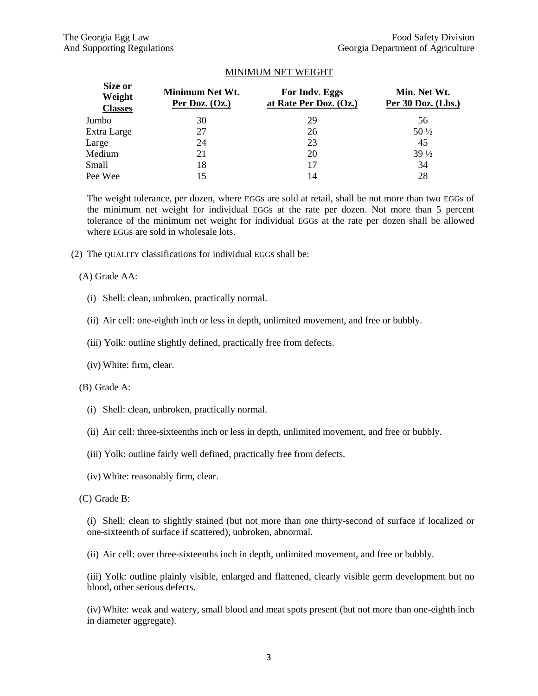#### MINIMUM NET WEIGHT

| Size or<br>Weight<br><b>Classes</b> | Minimum Net Wt.<br>Per Doz. $(Oz.)$ | For Indy. Eggs<br>at Rate Per Doz. (Oz.) | Min. Net Wt.<br>Per 30 Doz. (Lbs.) |
|-------------------------------------|-------------------------------------|------------------------------------------|------------------------------------|
| Jumbo                               | 30                                  | 29                                       | 56                                 |
| Extra Large                         | 27                                  | 26                                       | $50\frac{1}{2}$                    |
| Large                               | 24                                  | 23                                       | 45                                 |
| Medium                              | 21                                  | 20                                       | $39\frac{1}{2}$                    |
| Small                               | 18                                  |                                          | 34                                 |
| Pee Wee                             | 15                                  | 14                                       | 28                                 |

The weight tolerance, per dozen, where EGGs are sold at retail, shall be not more than two EGGs of the minimum net weight for individual EGGs at the rate per dozen. Not more than 5 percent tolerance of the minimum net weight for individual EGGs at the rate per dozen shall be allowed where EGGs are sold in wholesale lots.

(2) The QUALITY classifications for individual EGGs shall be:

(A) Grade AA:

- (i) Shell: clean, unbroken, practically normal.
- (ii) Air cell: one-eighth inch or less in depth, unlimited movement, and free or bubbly.
- (iii) Yolk: outline slightly defined, practically free from defects.
- (iv) White: firm, clear.

(B) Grade A:

- (i) Shell: clean, unbroken, practically normal.
- (ii) Air cell: three-sixteenths inch or less in depth, unlimited movement, and free or bubbly.
- (iii) Yolk: outline fairly well defined, practically free from defects.
- (iv) White: reasonably firm, clear.

#### (C) Grade B:

(i) Shell: clean to slightly stained (but not more than one thirty-second of surface if localized or one-sixteenth of surface if scattered), unbroken, abnormal.

(ii) Air cell: over three-sixteenths inch in depth, unlimited movement, and free or bubbly.

(iii) Yolk: outline plainly visible, enlarged and flattened, clearly visible germ development but no blood, other serious defects.

(iv) White: weak and watery, small blood and meat spots present (but not more than one-eighth inch in diameter aggregate).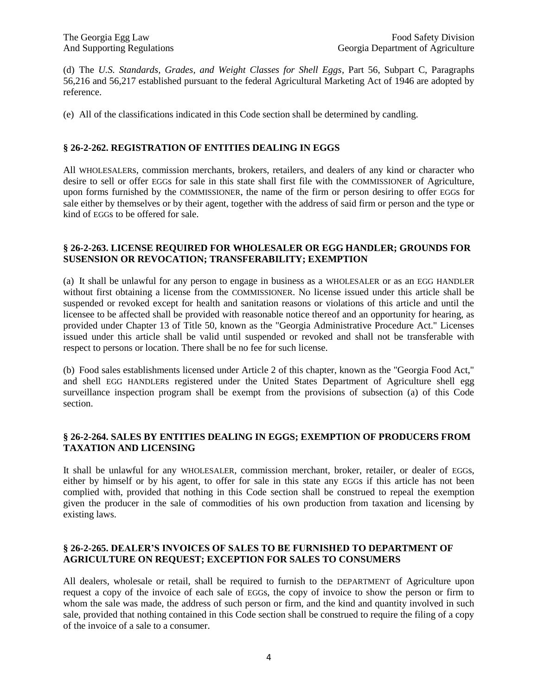(d) The *U.S. Standards, Grades, and Weight Classes for Shell Eggs*, Part 56, Subpart C, Paragraphs 56,216 and 56,217 established pursuant to the federal Agricultural Marketing Act of 1946 are adopted by reference.

(e) All of the classifications indicated in this Code section shall be determined by candling.

#### **§ 26-2-262. REGISTRATION OF ENTITIES DEALING IN EGGS**

All WHOLESALERs, commission merchants, brokers, retailers, and dealers of any kind or character who desire to sell or offer EGGs for sale in this state shall first file with the COMMISSIONER of Agriculture, upon forms furnished by the COMMISSIONER, the name of the firm or person desiring to offer EGGs for sale either by themselves or by their agent, together with the address of said firm or person and the type or kind of EGGs to be offered for sale.

#### **§ 26-2-263. LICENSE REQUIRED FOR WHOLESALER OR EGG HANDLER; GROUNDS FOR SUSENSION OR REVOCATION; TRANSFERABILITY; EXEMPTION**

(a) It shall be unlawful for any person to engage in business as a WHOLESALER or as an EGG HANDLER without first obtaining a license from the COMMISSIONER. No license issued under this article shall be suspended or revoked except for health and sanitation reasons or violations of this article and until the licensee to be affected shall be provided with reasonable notice thereof and an opportunity for hearing, as provided under Chapter 13 of Title 50, known as the "Georgia Administrative Procedure Act." Licenses issued under this article shall be valid until suspended or revoked and shall not be transferable with respect to persons or location. There shall be no fee for such license.

(b) Food sales establishments licensed under Article 2 of this chapter, known as the "Georgia Food Act," and shell EGG HANDLERs registered under the United States Department of Agriculture shell egg surveillance inspection program shall be exempt from the provisions of subsection (a) of this Code section.

#### **§ 26-2-264. SALES BY ENTITIES DEALING IN EGGS; EXEMPTION OF PRODUCERS FROM TAXATION AND LICENSING**

It shall be unlawful for any WHOLESALER, commission merchant, broker, retailer, or dealer of EGGs, either by himself or by his agent, to offer for sale in this state any EGGs if this article has not been complied with, provided that nothing in this Code section shall be construed to repeal the exemption given the producer in the sale of commodities of his own production from taxation and licensing by existing laws.

#### **§ 26-2-265. DEALER'S INVOICES OF SALES TO BE FURNISHED TO DEPARTMENT OF AGRICULTURE ON REQUEST; EXCEPTION FOR SALES TO CONSUMERS**

All dealers, wholesale or retail, shall be required to furnish to the DEPARTMENT of Agriculture upon request a copy of the invoice of each sale of EGGs, the copy of invoice to show the person or firm to whom the sale was made, the address of such person or firm, and the kind and quantity involved in such sale, provided that nothing contained in this Code section shall be construed to require the filing of a copy of the invoice of a sale to a consumer.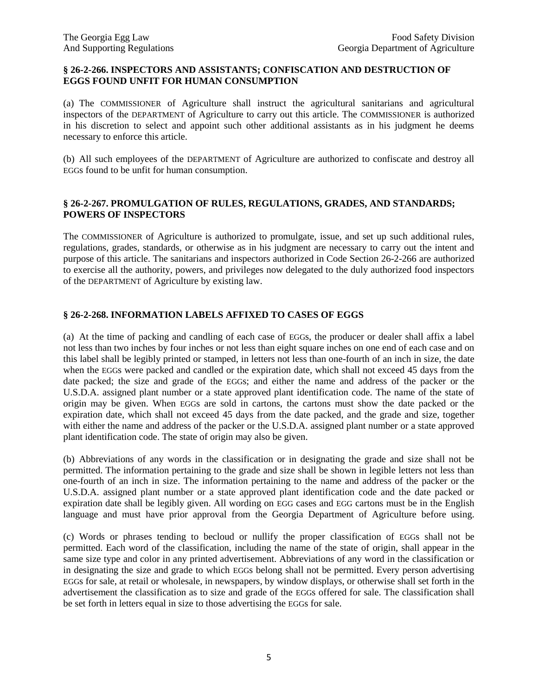#### **§ 26-2-266. INSPECTORS AND ASSISTANTS; CONFISCATION AND DESTRUCTION OF EGGS FOUND UNFIT FOR HUMAN CONSUMPTION**

(a) The COMMISSIONER of Agriculture shall instruct the agricultural sanitarians and agricultural inspectors of the DEPARTMENT of Agriculture to carry out this article. The COMMISSIONER is authorized in his discretion to select and appoint such other additional assistants as in his judgment he deems necessary to enforce this article.

(b) All such employees of the DEPARTMENT of Agriculture are authorized to confiscate and destroy all EGGs found to be unfit for human consumption.

#### **§ 26-2-267. PROMULGATION OF RULES, REGULATIONS, GRADES, AND STANDARDS; POWERS OF INSPECTORS**

The COMMISSIONER of Agriculture is authorized to promulgate, issue, and set up such additional rules, regulations, grades, standards, or otherwise as in his judgment are necessary to carry out the intent and purpose of this article. The sanitarians and inspectors authorized in Code Section 26-2-266 are authorized to exercise all the authority, powers, and privileges now delegated to the duly authorized food inspectors of the DEPARTMENT of Agriculture by existing law.

#### **§ 26-2-268. INFORMATION LABELS AFFIXED TO CASES OF EGGS**

(a) At the time of packing and candling of each case of EGGs, the producer or dealer shall affix a label not less than two inches by four inches or not less than eight square inches on one end of each case and on this label shall be legibly printed or stamped, in letters not less than one-fourth of an inch in size, the date when the EGGs were packed and candled or the expiration date, which shall not exceed 45 days from the date packed; the size and grade of the EGGs; and either the name and address of the packer or the U.S.D.A. assigned plant number or a state approved plant identification code. The name of the state of origin may be given. When EGGs are sold in cartons, the cartons must show the date packed or the expiration date, which shall not exceed 45 days from the date packed, and the grade and size, together with either the name and address of the packer or the U.S.D.A. assigned plant number or a state approved plant identification code. The state of origin may also be given.

(b) Abbreviations of any words in the classification or in designating the grade and size shall not be permitted. The information pertaining to the grade and size shall be shown in legible letters not less than one-fourth of an inch in size. The information pertaining to the name and address of the packer or the U.S.D.A. assigned plant number or a state approved plant identification code and the date packed or expiration date shall be legibly given. All wording on EGG cases and EGG cartons must be in the English language and must have prior approval from the Georgia Department of Agriculture before using.

(c) Words or phrases tending to becloud or nullify the proper classification of EGGs shall not be permitted. Each word of the classification, including the name of the state of origin, shall appear in the same size type and color in any printed advertisement. Abbreviations of any word in the classification or in designating the size and grade to which EGGs belong shall not be permitted. Every person advertising EGGs for sale, at retail or wholesale, in newspapers, by window displays, or otherwise shall set forth in the advertisement the classification as to size and grade of the EGGs offered for sale. The classification shall be set forth in letters equal in size to those advertising the EGGs for sale.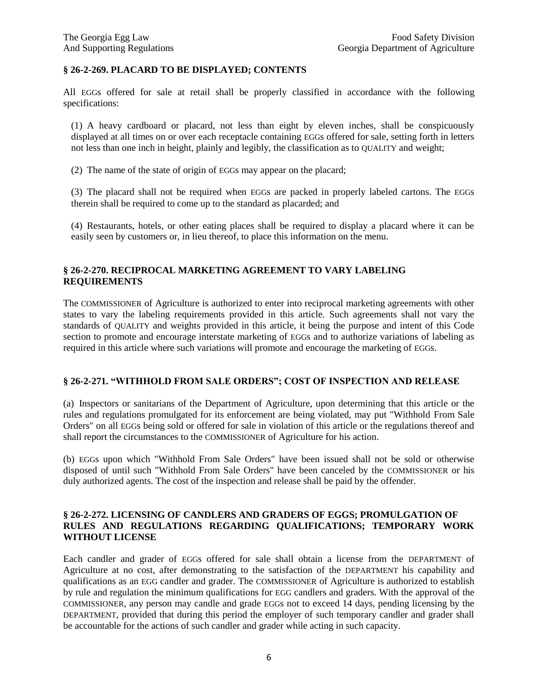#### **§ 26-2-269. PLACARD TO BE DISPLAYED; CONTENTS**

All EGGs offered for sale at retail shall be properly classified in accordance with the following specifications:

(1) A heavy cardboard or placard, not less than eight by eleven inches, shall be conspicuously displayed at all times on or over each receptacle containing EGGs offered for sale, setting forth in letters not less than one inch in height, plainly and legibly, the classification as to QUALITY and weight;

(2) The name of the state of origin of EGGs may appear on the placard;

(3) The placard shall not be required when EGGs are packed in properly labeled cartons. The EGGs therein shall be required to come up to the standard as placarded; and

(4) Restaurants, hotels, or other eating places shall be required to display a placard where it can be easily seen by customers or, in lieu thereof, to place this information on the menu.

#### **§ 26-2-270. RECIPROCAL MARKETING AGREEMENT TO VARY LABELING REQUIREMENTS**

The COMMISSIONER of Agriculture is authorized to enter into reciprocal marketing agreements with other states to vary the labeling requirements provided in this article. Such agreements shall not vary the standards of QUALITY and weights provided in this article, it being the purpose and intent of this Code section to promote and encourage interstate marketing of EGGs and to authorize variations of labeling as required in this article where such variations will promote and encourage the marketing of EGGs.

#### **§ 26-2-271. "WITHHOLD FROM SALE ORDERS"; COST OF INSPECTION AND RELEASE**

(a) Inspectors or sanitarians of the Department of Agriculture, upon determining that this article or the rules and regulations promulgated for its enforcement are being violated, may put "Withhold From Sale Orders" on all EGGs being sold or offered for sale in violation of this article or the regulations thereof and shall report the circumstances to the COMMISSIONER of Agriculture for his action.

(b) EGGs upon which "Withhold From Sale Orders" have been issued shall not be sold or otherwise disposed of until such "Withhold From Sale Orders" have been canceled by the COMMISSIONER or his duly authorized agents. The cost of the inspection and release shall be paid by the offender.

#### **§ 26-2-272. LICENSING OF CANDLERS AND GRADERS OF EGGS; PROMULGATION OF RULES AND REGULATIONS REGARDING QUALIFICATIONS; TEMPORARY WORK WITHOUT LICENSE**

Each candler and grader of EGGs offered for sale shall obtain a license from the DEPARTMENT of Agriculture at no cost, after demonstrating to the satisfaction of the DEPARTMENT his capability and qualifications as an EGG candler and grader. The COMMISSIONER of Agriculture is authorized to establish by rule and regulation the minimum qualifications for EGG candlers and graders. With the approval of the COMMISSIONER, any person may candle and grade EGGs not to exceed 14 days, pending licensing by the DEPARTMENT, provided that during this period the employer of such temporary candler and grader shall be accountable for the actions of such candler and grader while acting in such capacity.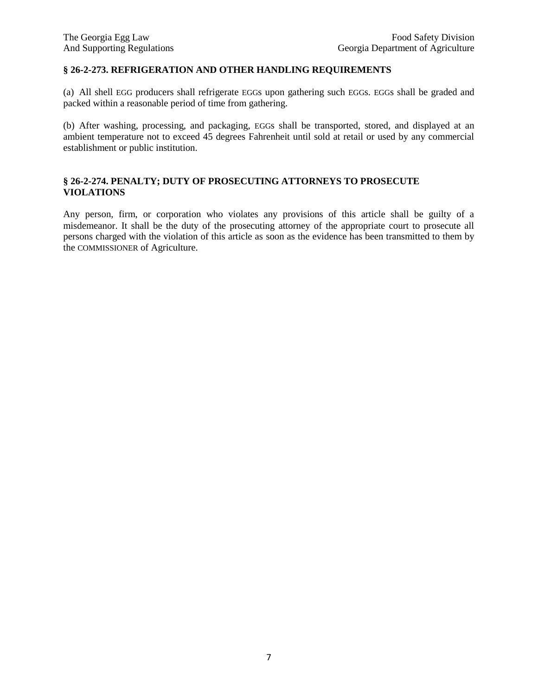#### **§ 26-2-273. REFRIGERATION AND OTHER HANDLING REQUIREMENTS**

(a) All shell EGG producers shall refrigerate EGGs upon gathering such EGGs. EGGs shall be graded and packed within a reasonable period of time from gathering.

(b) After washing, processing, and packaging, EGGs shall be transported, stored, and displayed at an ambient temperature not to exceed 45 degrees Fahrenheit until sold at retail or used by any commercial establishment or public institution.

#### **§ 26-2-274. PENALTY; DUTY OF PROSECUTING ATTORNEYS TO PROSECUTE VIOLATIONS**

Any person, firm, or corporation who violates any provisions of this article shall be guilty of a misdemeanor. It shall be the duty of the prosecuting attorney of the appropriate court to prosecute all persons charged with the violation of this article as soon as the evidence has been transmitted to them by the COMMISSIONER of Agriculture.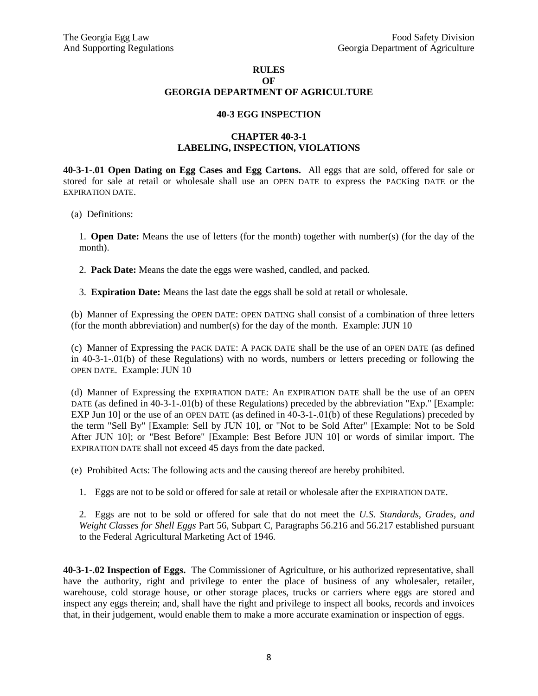#### **RULES**

#### **OF GEORGIA DEPARTMENT OF AGRICULTURE**

#### **40-3 EGG INSPECTION**

#### **CHAPTER 40-3-1 LABELING, INSPECTION, VIOLATIONS**

**40-3-1-.01 Open Dating on Egg Cases and Egg Cartons.** All eggs that are sold, offered for sale or stored for sale at retail or wholesale shall use an OPEN DATE to express the PACKing DATE or the EXPIRATION DATE.

(a) Definitions:

1. **Open Date:** Means the use of letters (for the month) together with number(s) (for the day of the month).

2. **Pack Date:** Means the date the eggs were washed, candled, and packed.

3. **Expiration Date:** Means the last date the eggs shall be sold at retail or wholesale.

(b) Manner of Expressing the OPEN DATE: OPEN DATING shall consist of a combination of three letters (for the month abbreviation) and number(s) for the day of the month. Example: JUN 10

(c) Manner of Expressing the PACK DATE: A PACK DATE shall be the use of an OPEN DATE (as defined in 40-3-1-.01(b) of these Regulations) with no words, numbers or letters preceding or following the OPEN DATE. Example: JUN 10

(d) Manner of Expressing the EXPIRATION DATE: An EXPIRATION DATE shall be the use of an OPEN DATE (as defined in 40-3-1-.01(b) of these Regulations) preceded by the abbreviation "Exp." [Example: EXP Jun 10] or the use of an OPEN DATE (as defined in 40-3-1-.01(b) of these Regulations) preceded by the term "Sell By" [Example: Sell by JUN 10], or "Not to be Sold After" [Example: Not to be Sold After JUN 10]; or "Best Before" [Example: Best Before JUN 10] or words of similar import. The EXPIRATION DATE shall not exceed 45 days from the date packed.

(e) Prohibited Acts: The following acts and the causing thereof are hereby prohibited.

1. Eggs are not to be sold or offered for sale at retail or wholesale after the EXPIRATION DATE.

2. Eggs are not to be sold or offered for sale that do not meet the *U.S. Standards, Grades, and Weight Classes for Shell Eggs* Part 56, Subpart C, Paragraphs 56.216 and 56.217 established pursuant to the Federal Agricultural Marketing Act of 1946.

**40-3-1-.02 Inspection of Eggs.** The Commissioner of Agriculture, or his authorized representative, shall have the authority, right and privilege to enter the place of business of any wholesaler, retailer, warehouse, cold storage house, or other storage places, trucks or carriers where eggs are stored and inspect any eggs therein; and, shall have the right and privilege to inspect all books, records and invoices that, in their judgement, would enable them to make a more accurate examination or inspection of eggs.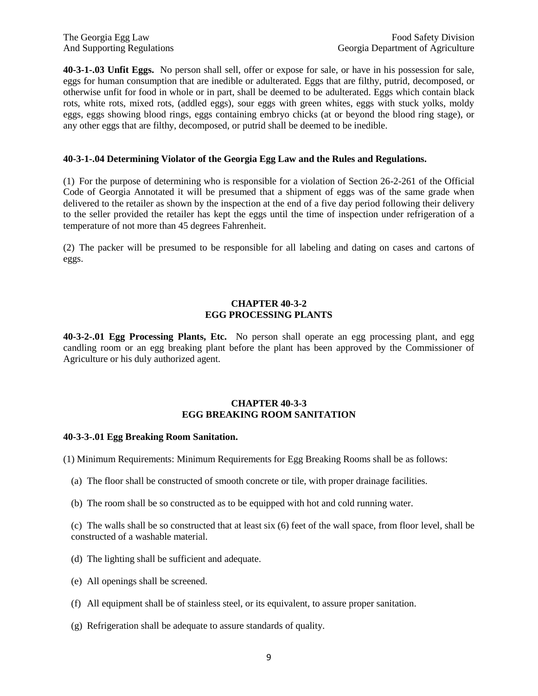**40-3-1-.03 Unfit Eggs.** No person shall sell, offer or expose for sale, or have in his possession for sale, eggs for human consumption that are inedible or adulterated. Eggs that are filthy, putrid, decomposed, or otherwise unfit for food in whole or in part, shall be deemed to be adulterated. Eggs which contain black rots, white rots, mixed rots, (addled eggs), sour eggs with green whites, eggs with stuck yolks, moldy eggs, eggs showing blood rings, eggs containing embryo chicks (at or beyond the blood ring stage), or any other eggs that are filthy, decomposed, or putrid shall be deemed to be inedible.

#### **40-3-1-.04 Determining Violator of the Georgia Egg Law and the Rules and Regulations.**

(1) For the purpose of determining who is responsible for a violation of Section 26-2-261 of the Official Code of Georgia Annotated it will be presumed that a shipment of eggs was of the same grade when delivered to the retailer as shown by the inspection at the end of a five day period following their delivery to the seller provided the retailer has kept the eggs until the time of inspection under refrigeration of a temperature of not more than 45 degrees Fahrenheit.

(2) The packer will be presumed to be responsible for all labeling and dating on cases and cartons of eggs.

#### **CHAPTER 40-3-2 EGG PROCESSING PLANTS**

**40-3-2-.01 Egg Processing Plants, Etc.** No person shall operate an egg processing plant, and egg candling room or an egg breaking plant before the plant has been approved by the Commissioner of Agriculture or his duly authorized agent.

#### **CHAPTER 40-3-3 EGG BREAKING ROOM SANITATION**

#### **40-3-3-.01 Egg Breaking Room Sanitation.**

(1) Minimum Requirements: Minimum Requirements for Egg Breaking Rooms shall be as follows:

- (a) The floor shall be constructed of smooth concrete or tile, with proper drainage facilities.
- (b) The room shall be so constructed as to be equipped with hot and cold running water.

(c) The walls shall be so constructed that at least six (6) feet of the wall space, from floor level, shall be constructed of a washable material.

- (d) The lighting shall be sufficient and adequate.
- (e) All openings shall be screened.
- (f) All equipment shall be of stainless steel, or its equivalent, to assure proper sanitation.
- (g) Refrigeration shall be adequate to assure standards of quality.